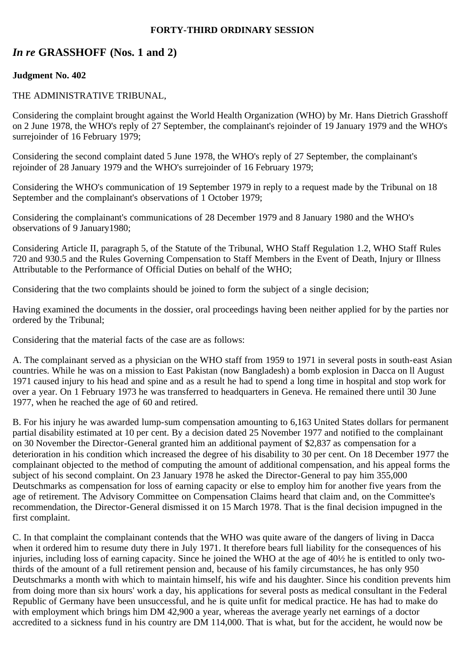## **FORTY-THIRD ORDINARY SESSION**

# *In re* **GRASSHOFF (Nos. 1 and 2)**

## **Judgment No. 402**

## THE ADMINISTRATIVE TRIBUNAL,

Considering the complaint brought against the World Health Organization (WHO) by Mr. Hans Dietrich Grasshoff on 2 June 1978, the WHO's reply of 27 September, the complainant's rejoinder of 19 January 1979 and the WHO's surrejoinder of 16 February 1979;

Considering the second complaint dated 5 June 1978, the WHO's reply of 27 September, the complainant's rejoinder of 28 January 1979 and the WHO's surrejoinder of 16 February 1979;

Considering the WHO's communication of 19 September 1979 in reply to a request made by the Tribunal on 18 September and the complainant's observations of 1 October 1979;

Considering the complainant's communications of 28 December 1979 and 8 January 1980 and the WHO's observations of 9 January1980;

Considering Article II, paragraph 5, of the Statute of the Tribunal, WHO Staff Regulation 1.2, WHO Staff Rules 720 and 930.5 and the Rules Governing Compensation to Staff Members in the Event of Death, Injury or Illness Attributable to the Performance of Official Duties on behalf of the WHO;

Considering that the two complaints should be joined to form the subject of a single decision;

Having examined the documents in the dossier, oral proceedings having been neither applied for by the parties nor ordered by the Tribunal;

Considering that the material facts of the case are as follows:

A. The complainant served as a physician on the WHO staff from 1959 to 1971 in several posts in south-east Asian countries. While he was on a mission to East Pakistan (now Bangladesh) a bomb explosion in Dacca on ll August 1971 caused injury to his head and spine and as a result he had to spend a long time in hospital and stop work for over a year. On 1 February 1973 he was transferred to headquarters in Geneva. He remained there until 30 June 1977, when he reached the age of 60 and retired.

B. For his injury he was awarded lump-sum compensation amounting to 6,163 United States dollars for permanent partial disability estimated at 10 per cent. By a decision dated 25 November 1977 and notified to the complainant on 30 November the Director-General granted him an additional payment of \$2,837 as compensation for a deterioration in his condition which increased the degree of his disability to 30 per cent. On 18 December 1977 the complainant objected to the method of computing the amount of additional compensation, and his appeal forms the subject of his second complaint. On 23 January 1978 he asked the Director-General to pay him 355,000 Deutschmarks as compensation for loss of earning capacity or else to employ him for another five years from the age of retirement. The Advisory Committee on Compensation Claims heard that claim and, on the Committee's recommendation, the Director-General dismissed it on 15 March 1978. That is the final decision impugned in the first complaint.

C. In that complaint the complainant contends that the WHO was quite aware of the dangers of living in Dacca when it ordered him to resume duty there in July 1971. It therefore bears full liability for the consequences of his injuries, including loss of earning capacity. Since he joined the WHO at the age of 40½ he is entitled to only twothirds of the amount of a full retirement pension and, because of his family circumstances, he has only 950 Deutschmarks a month with which to maintain himself, his wife and his daughter. Since his condition prevents him from doing more than six hours' work a day, his applications for several posts as medical consultant in the Federal Republic of Germany have been unsuccessful, and he is quite unfit for medical practice. He has had to make do with employment which brings him DM 42,900 a year, whereas the average yearly net earnings of a doctor accredited to a sickness fund in his country are DM 114,000. That is what, but for the accident, he would now be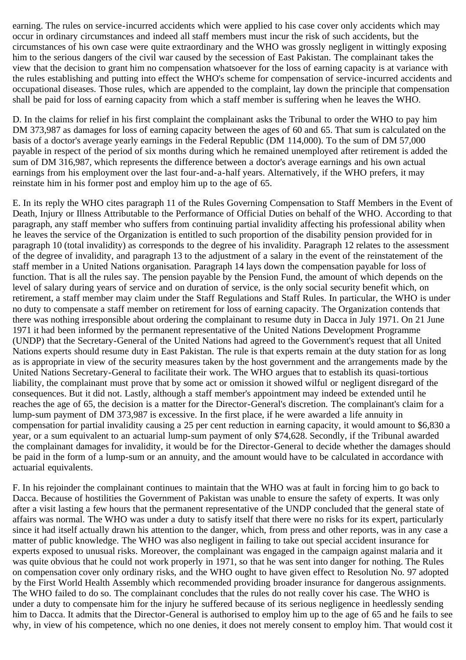earning. The rules on service-incurred accidents which were applied to his case cover only accidents which may occur in ordinary circumstances and indeed all staff members must incur the risk of such accidents, but the circumstances of his own case were quite extraordinary and the WHO was grossly negligent in wittingly exposing him to the serious dangers of the civil war caused by the secession of East Pakistan. The complainant takes the view that the decision to grant him no compensation whatsoever for the loss of earning capacity is at variance with the rules establishing and putting into effect the WHO's scheme for compensation of service-incurred accidents and occupational diseases. Those rules, which are appended to the complaint, lay down the principle that compensation shall be paid for loss of earning capacity from which a staff member is suffering when he leaves the WHO.

D. In the claims for relief in his first complaint the complainant asks the Tribunal to order the WHO to pay him DM 373,987 as damages for loss of earning capacity between the ages of 60 and 65. That sum is calculated on the basis of a doctor's average yearly earnings in the Federal Republic (DM 114,000). To the sum of DM 57,000 payable in respect of the period of six months during which he remained unemployed after retirement is added the sum of DM 316,987, which represents the difference between a doctor's average earnings and his own actual earnings from his employment over the last four-and-a-half years. Alternatively, if the WHO prefers, it may reinstate him in his former post and employ him up to the age of 65.

E. In its reply the WHO cites paragraph 11 of the Rules Governing Compensation to Staff Members in the Event of Death, Injury or Illness Attributable to the Performance of Official Duties on behalf of the WHO. According to that paragraph, any staff member who suffers from continuing partial invalidity affecting his professional ability when he leaves the service of the Organization is entitled to such proportion of the disability pension provided for in paragraph 10 (total invalidity) as corresponds to the degree of his invalidity. Paragraph 12 relates to the assessment of the degree of invalidity, and paragraph 13 to the adjustment of a salary in the event of the reinstatement of the staff member in a United Nations organisation. Paragraph 14 lays down the compensation payable for loss of function. That is all the rules say. The pension payable by the Pension Fund, the amount of which depends on the level of salary during years of service and on duration of service, is the only social security benefit which, on retirement, a staff member may claim under the Staff Regulations and Staff Rules. In particular, the WHO is under no duty to compensate a staff member on retirement for loss of earning capacity. The Organization contends that there was nothing irresponsible about ordering the complainant to resume duty in Dacca in July 1971. On 21 June 1971 it had been informed by the permanent representative of the United Nations Development Programme (UNDP) that the Secretary-General of the United Nations had agreed to the Government's request that all United Nations experts should resume duty in East Pakistan. The rule is that experts remain at the duty station for as long as is appropriate in view of the security measures taken by the host government and the arrangements made by the United Nations Secretary-General to facilitate their work. The WHO argues that to establish its quasi-tortious liability, the complainant must prove that by some act or omission it showed wilful or negligent disregard of the consequences. But it did not. Lastly, although a staff member's appointment may indeed be extended until he reaches the age of 65, the decision is a matter for the Director-General's discretion. The complainant's claim for a lump-sum payment of DM 373,987 is excessive. In the first place, if he were awarded a life annuity in compensation for partial invalidity causing a 25 per cent reduction in earning capacity, it would amount to \$6,830 a year, or a sum equivalent to an actuarial lump-sum payment of only \$74,628. Secondly, if the Tribunal awarded the complainant damages for invalidity, it would be for the Director-General to decide whether the damages should be paid in the form of a lump-sum or an annuity, and the amount would have to be calculated in accordance with actuarial equivalents.

F. In his rejoinder the complainant continues to maintain that the WHO was at fault in forcing him to go back to Dacca. Because of hostilities the Government of Pakistan was unable to ensure the safety of experts. It was only after a visit lasting a few hours that the permanent representative of the UNDP concluded that the general state of affairs was normal. The WHO was under a duty to satisfy itself that there were no risks for its expert, particularly since it had itself actually drawn his attention to the danger, which, from press and other reports, was in any case a matter of public knowledge. The WHO was also negligent in failing to take out special accident insurance for experts exposed to unusual risks. Moreover, the complainant was engaged in the campaign against malaria and it was quite obvious that he could not work properly in 1971, so that he was sent into danger for nothing. The Rules on compensation cover only ordinary risks, and the WHO ought to have given effect to Resolution No. 97 adopted by the First World Health Assembly which recommended providing broader insurance for dangerous assignments. The WHO failed to do so. The complainant concludes that the rules do not really cover his case. The WHO is under a duty to compensate him for the injury he suffered because of its serious negligence in heedlessly sending him to Dacca. It admits that the Director-General is authorised to employ him up to the age of 65 and he fails to see why, in view of his competence, which no one denies, it does not merely consent to employ him. That would cost it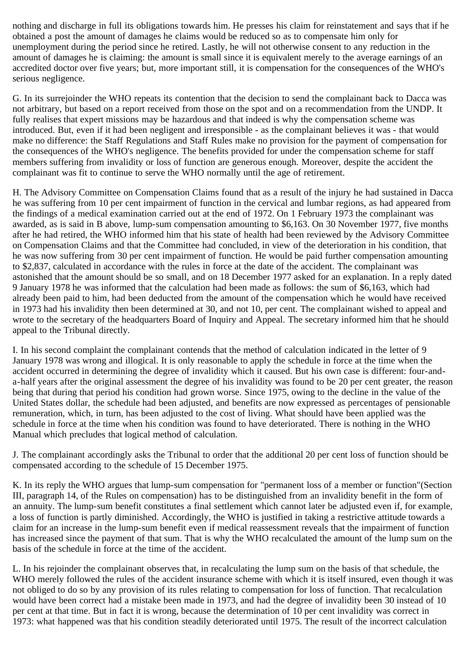nothing and discharge in full its obligations towards him. He presses his claim for reinstatement and says that if he obtained a post the amount of damages he claims would be reduced so as to compensate him only for unemployment during the period since he retired. Lastly, he will not otherwise consent to any reduction in the amount of damages he is claiming: the amount is small since it is equivalent merely to the average earnings of an accredited doctor over five years; but, more important still, it is compensation for the consequences of the WHO's serious negligence.

G. In its surrejoinder the WHO repeats its contention that the decision to send the complainant back to Dacca was not arbitrary, but based on a report received from those on the spot and on a recommendation from the UNDP. It fully realises that expert missions may be hazardous and that indeed is why the compensation scheme was introduced. But, even if it had been negligent and irresponsible - as the complainant believes it was - that would make no difference: the Staff Regulations and Staff Rules make no provision for the payment of compensation for the consequences of the WHO's negligence. The benefits provided for under the compensation scheme for staff members suffering from invalidity or loss of function are generous enough. Moreover, despite the accident the complainant was fit to continue to serve the WHO normally until the age of retirement.

H. The Advisory Committee on Compensation Claims found that as a result of the injury he had sustained in Dacca he was suffering from 10 per cent impairment of function in the cervical and lumbar regions, as had appeared from the findings of a medical examination carried out at the end of 1972. On 1 February 1973 the complainant was awarded, as is said in B above, lump-sum compensation amounting to \$6,163. On 30 November 1977, five months after he had retired, the WHO informed him that his state of health had been reviewed by the Advisory Committee on Compensation Claims and that the Committee had concluded, in view of the deterioration in his condition, that he was now suffering from 30 per cent impairment of function. He would be paid further compensation amounting to \$2,837, calculated in accordance with the rules in force at the date of the accident. The complainant was astonished that the amount should be so small, and on 18 December 1977 asked for an explanation. In a reply dated 9 January 1978 he was informed that the calculation had been made as follows: the sum of \$6,163, which had already been paid to him, had been deducted from the amount of the compensation which he would have received in 1973 had his invalidity then been determined at 30, and not 10, per cent. The complainant wished to appeal and wrote to the secretary of the headquarters Board of Inquiry and Appeal. The secretary informed him that he should appeal to the Tribunal directly.

I. In his second complaint the complainant contends that the method of calculation indicated in the letter of 9 January 1978 was wrong and illogical. It is only reasonable to apply the schedule in force at the time when the accident occurred in determining the degree of invalidity which it caused. But his own case is different: four-anda-half years after the original assessment the degree of his invalidity was found to be 20 per cent greater, the reason being that during that period his condition had grown worse. Since 1975, owing to the decline in the value of the United States dollar, the schedule had been adjusted, and benefits are now expressed as percentages of pensionable remuneration, which, in turn, has been adjusted to the cost of living. What should have been applied was the schedule in force at the time when his condition was found to have deteriorated. There is nothing in the WHO Manual which precludes that logical method of calculation.

J. The complainant accordingly asks the Tribunal to order that the additional 20 per cent loss of function should be compensated according to the schedule of 15 December 1975.

K. In its reply the WHO argues that lump-sum compensation for "permanent loss of a member or function"(Section III, paragraph 14, of the Rules on compensation) has to be distinguished from an invalidity benefit in the form of an annuity. The lump-sum benefit constitutes a final settlement which cannot later be adjusted even if, for example, a loss of function is partly diminished. Accordingly, the WHO is justified in taking a restrictive attitude towards a claim for an increase in the lump-sum benefit even if medical reassessment reveals that the impairment of function has increased since the payment of that sum. That is why the WHO recalculated the amount of the lump sum on the basis of the schedule in force at the time of the accident.

L. In his rejoinder the complainant observes that, in recalculating the lump sum on the basis of that schedule, the WHO merely followed the rules of the accident insurance scheme with which it is itself insured, even though it was not obliged to do so by any provision of its rules relating to compensation for loss of function. That recalculation would have been correct had a mistake been made in 1973, and had the degree of invalidity been 30 instead of 10 per cent at that time. But in fact it is wrong, because the determination of 10 per cent invalidity was correct in 1973: what happened was that his condition steadily deteriorated until 1975. The result of the incorrect calculation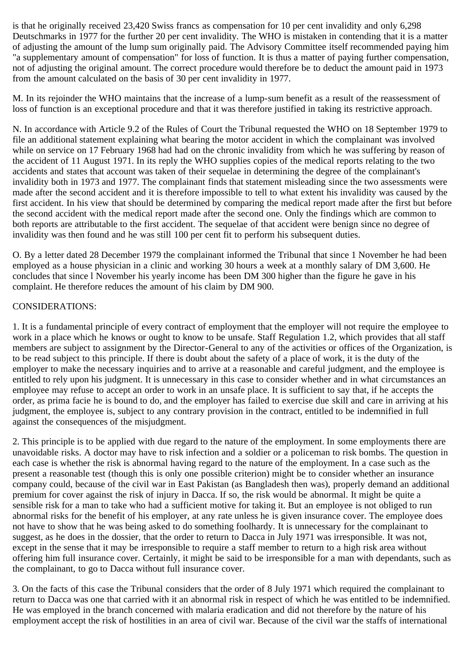is that he originally received 23,420 Swiss francs as compensation for 10 per cent invalidity and only 6,298 Deutschmarks in 1977 for the further 20 per cent invalidity. The WHO is mistaken in contending that it is a matter of adjusting the amount of the lump sum originally paid. The Advisory Committee itself recommended paying him "a supplementary amount of compensation" for loss of function. It is thus a matter of paying further compensation, not of adjusting the original amount. The correct procedure would therefore be to deduct the amount paid in 1973 from the amount calculated on the basis of 30 per cent invalidity in 1977.

M. In its rejoinder the WHO maintains that the increase of a lump-sum benefit as a result of the reassessment of loss of function is an exceptional procedure and that it was therefore justified in taking its restrictive approach.

N. In accordance with Article 9.2 of the Rules of Court the Tribunal requested the WHO on 18 September 1979 to file an additional statement explaining what bearing the motor accident in which the complainant was involved while on service on 17 February 1968 had had on the chronic invalidity from which he was suffering by reason of the accident of 11 August 1971. In its reply the WHO supplies copies of the medical reports relating to the two accidents and states that account was taken of their sequelae in determining the degree of the complainant's invalidity both in 1973 and 1977. The complainant finds that statement misleading since the two assessments were made after the second accident and it is therefore impossible to tell to what extent his invalidity was caused by the first accident. In his view that should be determined by comparing the medical report made after the first but before the second accident with the medical report made after the second one. Only the findings which are common to both reports are attributable to the first accident. The sequelae of that accident were benign since no degree of invalidity was then found and he was still 100 per cent fit to perform his subsequent duties.

O. By a letter dated 28 December 1979 the complainant informed the Tribunal that since 1 November he had been employed as a house physician in a clinic and working 30 hours a week at a monthly salary of DM 3,600. He concludes that since l November his yearly income has been DM 300 higher than the figure he gave in his complaint. He therefore reduces the amount of his claim by DM 900.

## CONSIDERATIONS:

1. It is a fundamental principle of every contract of employment that the employer will not require the employee to work in a place which he knows or ought to know to be unsafe. Staff Regulation 1.2, which provides that all staff members are subject to assignment by the Director-General to any of the activities or offices of the Organization, is to be read subject to this principle. If there is doubt about the safety of a place of work, it is the duty of the employer to make the necessary inquiries and to arrive at a reasonable and careful judgment, and the employee is entitled to rely upon his judgment. It is unnecessary in this case to consider whether and in what circumstances an employee may refuse to accept an order to work in an unsafe place. It is sufficient to say that, if he accepts the order, as prima facie he is bound to do, and the employer has failed to exercise due skill and care in arriving at his judgment, the employee is, subject to any contrary provision in the contract, entitled to be indemnified in full against the consequences of the misjudgment.

2. This principle is to be applied with due regard to the nature of the employment. In some employments there are unavoidable risks. A doctor may have to risk infection and a soldier or a policeman to risk bombs. The question in each case is whether the risk is abnormal having regard to the nature of the employment. In a case such as the present a reasonable test (though this is only one possible criterion) might be to consider whether an insurance company could, because of the civil war in East Pakistan (as Bangladesh then was), properly demand an additional premium for cover against the risk of injury in Dacca. If so, the risk would be abnormal. It might be quite a sensible risk for a man to take who had a sufficient motive for taking it. But an employee is not obliged to run abnormal risks for the benefit of his employer, at any rate unless he is given insurance cover. The employee does not have to show that he was being asked to do something foolhardy. It is unnecessary for the complainant to suggest, as he does in the dossier, that the order to return to Dacca in July 1971 was irresponsible. It was not, except in the sense that it may be irresponsible to require a staff member to return to a high risk area without offering him full insurance cover. Certainly, it might be said to be irresponsible for a man with dependants, such as the complainant, to go to Dacca without full insurance cover.

3. On the facts of this case the Tribunal considers that the order of 8 July 1971 which required the complainant to return to Dacca was one that carried with it an abnormal risk in respect of which he was entitled to be indemnified. He was employed in the branch concerned with malaria eradication and did not therefore by the nature of his employment accept the risk of hostilities in an area of civil war. Because of the civil war the staffs of international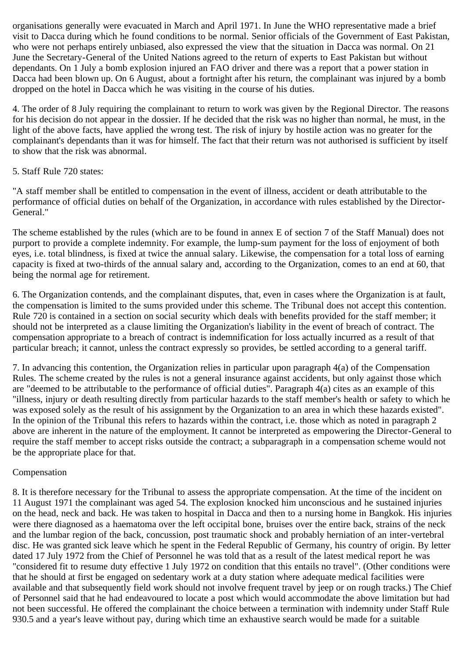organisations generally were evacuated in March and April 1971. In June the WHO representative made a brief visit to Dacca during which he found conditions to be normal. Senior officials of the Government of East Pakistan, who were not perhaps entirely unbiased, also expressed the view that the situation in Dacca was normal. On 21 June the Secretary-General of the United Nations agreed to the return of experts to East Pakistan but without dependants. On 1 July a bomb explosion injured an FAO driver and there was a report that a power station in Dacca had been blown up. On 6 August, about a fortnight after his return, the complainant was injured by a bomb dropped on the hotel in Dacca which he was visiting in the course of his duties.

4. The order of 8 July requiring the complainant to return to work was given by the Regional Director. The reasons for his decision do not appear in the dossier. If he decided that the risk was no higher than normal, he must, in the light of the above facts, have applied the wrong test. The risk of injury by hostile action was no greater for the complainant's dependants than it was for himself. The fact that their return was not authorised is sufficient by itself to show that the risk was abnormal.

## 5. Staff Rule 720 states:

"A staff member shall be entitled to compensation in the event of illness, accident or death attributable to the performance of official duties on behalf of the Organization, in accordance with rules established by the Director-General."

The scheme established by the rules (which are to be found in annex E of section 7 of the Staff Manual) does not purport to provide a complete indemnity. For example, the lump-sum payment for the loss of enjoyment of both eyes, i.e. total blindness, is fixed at twice the annual salary. Likewise, the compensation for a total loss of earning capacity is fixed at two-thirds of the annual salary and, according to the Organization, comes to an end at 60, that being the normal age for retirement.

6. The Organization contends, and the complainant disputes, that, even in cases where the Organization is at fault, the compensation is limited to the sums provided under this scheme. The Tribunal does not accept this contention. Rule 720 is contained in a section on social security which deals with benefits provided for the staff member; it should not be interpreted as a clause limiting the Organization's liability in the event of breach of contract. The compensation appropriate to a breach of contract is indemnification for loss actually incurred as a result of that particular breach; it cannot, unless the contract expressly so provides, be settled according to a general tariff.

7. In advancing this contention, the Organization relies in particular upon paragraph 4(a) of the Compensation Rules. The scheme created by the rules is not a general insurance against accidents, but only against those which are "deemed to be attributable to the performance of official duties". Paragraph 4(a) cites as an example of this "illness, injury or death resulting directly from particular hazards to the staff member's health or safety to which he was exposed solely as the result of his assignment by the Organization to an area in which these hazards existed". In the opinion of the Tribunal this refers to hazards within the contract, i.e. those which as noted in paragraph 2 above are inherent in the nature of the employment. It cannot be interpreted as empowering the Director-General to require the staff member to accept risks outside the contract; a subparagraph in a compensation scheme would not be the appropriate place for that.

## Compensation

8. It is therefore necessary for the Tribunal to assess the appropriate compensation. At the time of the incident on 11 August 1971 the complainant was aged 54. The explosion knocked him unconscious and he sustained injuries on the head, neck and back. He was taken to hospital in Dacca and then to a nursing home in Bangkok. His injuries were there diagnosed as a haematoma over the left occipital bone, bruises over the entire back, strains of the neck and the lumbar region of the back, concussion, post traumatic shock and probably herniation of an inter-vertebral disc. He was granted sick leave which he spent in the Federal Republic of Germany, his country of origin. By letter dated 17 July 1972 from the Chief of Personnel he was told that as a result of the latest medical report he was "considered fit to resume duty effective 1 July 1972 on condition that this entails no travel". (Other conditions were that he should at first be engaged on sedentary work at a duty station where adequate medical facilities were available and that subsequently field work should not involve frequent travel by jeep or on rough tracks.) The Chief of Personnel said that he had endeavoured to locate a post which would accommodate the above limitation but had not been successful. He offered the complainant the choice between a termination with indemnity under Staff Rule 930.5 and a year's leave without pay, during which time an exhaustive search would be made for a suitable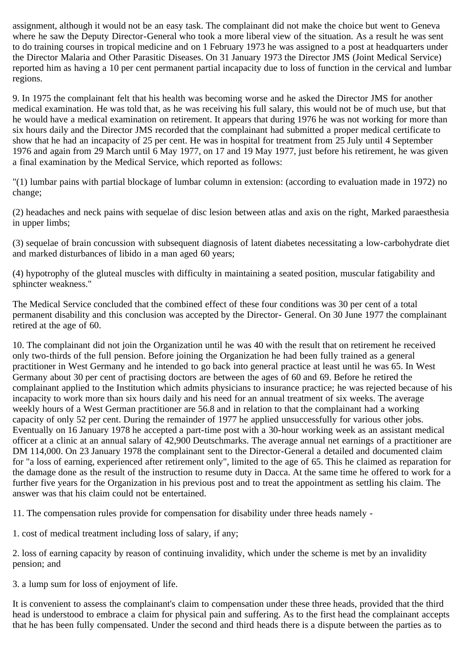assignment, although it would not be an easy task. The complainant did not make the choice but went to Geneva where he saw the Deputy Director-General who took a more liberal view of the situation. As a result he was sent to do training courses in tropical medicine and on 1 February 1973 he was assigned to a post at headquarters under the Director Malaria and Other Parasitic Diseases. On 31 January 1973 the Director JMS (Joint Medical Service) reported him as having a 10 per cent permanent partial incapacity due to loss of function in the cervical and lumbar regions.

9. In 1975 the complainant felt that his health was becoming worse and he asked the Director JMS for another medical examination. He was told that, as he was receiving his full salary, this would not be of much use, but that he would have a medical examination on retirement. It appears that during 1976 he was not working for more than six hours daily and the Director JMS recorded that the complainant had submitted a proper medical certificate to show that he had an incapacity of 25 per cent. He was in hospital for treatment from 25 July until 4 September 1976 and again from 29 March until 6 May 1977, on 17 and 19 May 1977, just before his retirement, he was given a final examination by the Medical Service, which reported as follows:

"(1) lumbar pains with partial blockage of lumbar column in extension: (according to evaluation made in 1972) no change;

(2) headaches and neck pains with sequelae of disc lesion between atlas and axis on the right, Marked paraesthesia in upper limbs;

(3) sequelae of brain concussion with subsequent diagnosis of latent diabetes necessitating a low-carbohydrate diet and marked disturbances of libido in a man aged 60 years;

(4) hypotrophy of the gluteal muscles with difficulty in maintaining a seated position, muscular fatigability and sphincter weakness."

The Medical Service concluded that the combined effect of these four conditions was 30 per cent of a total permanent disability and this conclusion was accepted by the Director- General. On 30 June 1977 the complainant retired at the age of 60.

10. The complainant did not join the Organization until he was 40 with the result that on retirement he received only two-thirds of the full pension. Before joining the Organization he had been fully trained as a general practitioner in West Germany and he intended to go back into general practice at least until he was 65. In West Germany about 30 per cent of practising doctors are between the ages of 60 and 69. Before he retired the complainant applied to the Institution which admits physicians to insurance practice; he was rejected because of his incapacity to work more than six hours daily and his need for an annual treatment of six weeks. The average weekly hours of a West German practitioner are 56.8 and in relation to that the complainant had a working capacity of only 52 per cent. During the remainder of 1977 he applied unsuccessfully for various other jobs. Eventually on 16 January 1978 he accepted a part-time post with a 30-hour working week as an assistant medical officer at a clinic at an annual salary of 42,900 Deutschmarks. The average annual net earnings of a practitioner are DM 114,000. On 23 January 1978 the complainant sent to the Director-General a detailed and documented claim for "a loss of earning, experienced after retirement only", limited to the age of 65. This he claimed as reparation for the damage done as the result of the instruction to resume duty in Dacca. At the same time he offered to work for a further five years for the Organization in his previous post and to treat the appointment as settling his claim. The answer was that his claim could not be entertained.

11. The compensation rules provide for compensation for disability under three heads namely -

1. cost of medical treatment including loss of salary, if any;

2. loss of earning capacity by reason of continuing invalidity, which under the scheme is met by an invalidity pension; and

3. a lump sum for loss of enjoyment of life.

It is convenient to assess the complainant's claim to compensation under these three heads, provided that the third head is understood to embrace a claim for physical pain and suffering. As to the first head the complainant accepts that he has been fully compensated. Under the second and third heads there is a dispute between the parties as to